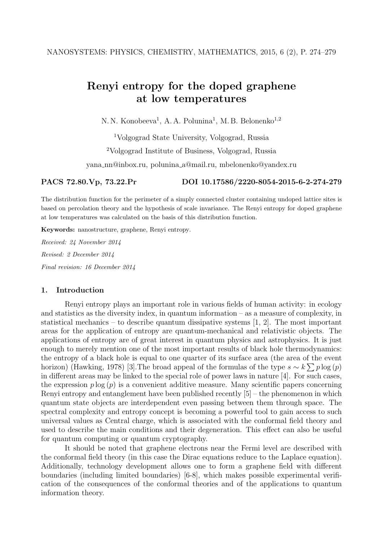# Renyi entropy for the doped graphene at low temperatures

N. N. Konobeeva<sup>1</sup>, A. A. Polunina<sup>1</sup>, M. B. Belonenko<sup>1,2</sup>

<sup>1</sup>Volgograd State University, Volgograd, Russia

<sup>2</sup>Volgograd Institute of Business, Volgograd, Russia

yana nn@inbox.ru, polunina a@mail.ru, mbelonenko@yandex.ru

PACS 72.80.Vp, 73.22.Pr DOI 10.17586/2220-8054-2015-6-2-274-279

The distribution function for the perimeter of a simply connected cluster containing undoped lattice sites is based on percolation theory and the hypothesis of scale invariance. The Renyi entropy for doped graphene at low temperatures was calculated on the basis of this distribution function.

Keywords: nanostructure, graphene, Renyi entropy.

Received: 24 November 2014 Revised: 2 December 2014 Final revision: 16 December 2014

## 1. Introduction

Renyi entropy plays an important role in various fields of human activity: in ecology and statistics as the diversity index, in quantum information – as a measure of complexity, in statistical mechanics – to describe quantum dissipative systems [1, 2]. The most important areas for the application of entropy are quantum-mechanical and relativistic objects. The applications of entropy are of great interest in quantum physics and astrophysics. It is just enough to merely mention one of the most important results of black hole thermodynamics: the entropy of a black hole is equal to one quarter of its surface area (the area of the event horizon) (Hawking, 1978) [3]. The broad appeal of the formulas of the type  $s \sim k \sum p \log(p)$ in different areas may be linked to the special role of power laws in nature [4]. For such cases, the expression  $p \log(p)$  is a convenient additive measure. Many scientific papers concerning Renyi entropy and entanglement have been published recently [5] – the phenomenon in which quantum state objects are interdependent even passing between them through space. The spectral complexity and entropy concept is becoming a powerful tool to gain access to such universal values as Central charge, which is associated with the conformal field theory and used to describe the main conditions and their degeneration. This effect can also be useful for quantum computing or quantum cryptography.

It should be noted that graphene electrons near the Fermi level are described with the conformal field theory (in this case the Dirac equations reduce to the Laplace equation). Additionally, technology development allows one to form a graphene field with different boundaries (including limited boundaries) [6-8], which makes possible experimental verification of the consequences of the conformal theories and of the applications to quantum information theory.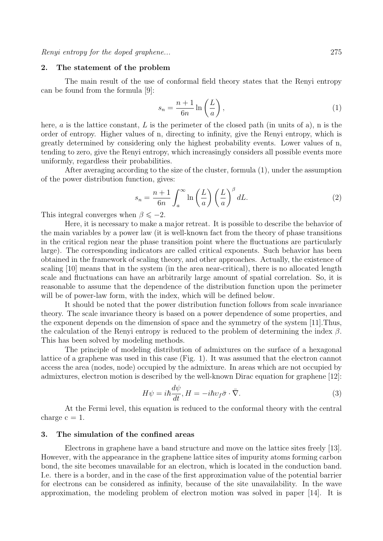## 2. The statement of the problem

The main result of the use of conformal field theory states that the Renyi entropy can be found from the formula [9]:

$$
s_n = \frac{n+1}{6n} \ln\left(\frac{L}{a}\right),\tag{1}
$$

here,  $\alpha$  is the lattice constant,  $L$  is the perimeter of the closed path (in units of a), n is the order of entropy. Higher values of n, directing to infinity, give the Renyi entropy, which is greatly determined by considering only the highest probability events. Lower values of n, tending to zero, give the Renyi entropy, which increasingly considers all possible events more uniformly, regardless their probabilities.

After averaging according to the size of the cluster, formula (1), under the assumption of the power distribution function, gives:

$$
s_n = \frac{n+1}{6n} \int_a^\infty \ln\left(\frac{L}{a}\right) \left(\frac{L}{a}\right)^\beta dL. \tag{2}
$$

This integral converges when  $\beta \leq -2$ .

Here, it is necessary to make a major retreat. It is possible to describe the behavior of the main variables by a power law (it is well-known fact from the theory of phase transitions in the critical region near the phase transition point where the fluctuations are particularly large). The corresponding indicators are called critical exponents. Such behavior has been obtained in the framework of scaling theory, and other approaches. Actually, the existence of scaling [10] means that in the system (in the area near-critical), there is no allocated length scale and fluctuations can have an arbitrarily large amount of spatial correlation. So, it is reasonable to assume that the dependence of the distribution function upon the perimeter will be of power-law form, with the index, which will be defined below.

It should be noted that the power distribution function follows from scale invariance theory. The scale invariance theory is based on a power dependence of some properties, and the exponent depends on the dimension of space and the symmetry of the system [11].Thus, the calculation of the Renyi entropy is reduced to the problem of determining the index  $\beta$ . This has been solved by modeling methods.

The principle of modeling distribution of admixtures on the surface of a hexagonal lattice of a graphene was used in this case (Fig. 1). It was assumed that the electron cannot access the area (nodes, node) occupied by the admixture. In areas which are not occupied by admixtures, electron motion is described by the well-known Dirac equation for graphene [12]:

$$
H\psi = i\hbar \frac{d\psi}{dt}, H = -i\hbar v_f \bar{\sigma} \cdot \bar{\nabla}.
$$
 (3)

At the Fermi level, this equation is reduced to the conformal theory with the central charge  $c = 1$ .

# 3. The simulation of the confined areas

Electrons in graphene have a band structure and move on the lattice sites freely [13]. However, with the appearance in the graphene lattice sites of impurity atoms forming carbon bond, the site becomes unavailable for an electron, which is located in the conduction band. I.e. there is a border, and in the case of the first approximation value of the potential barrier for electrons can be considered as infinity, because of the site unavailability. In the wave approximation, the modeling problem of electron motion was solved in paper [14]. It is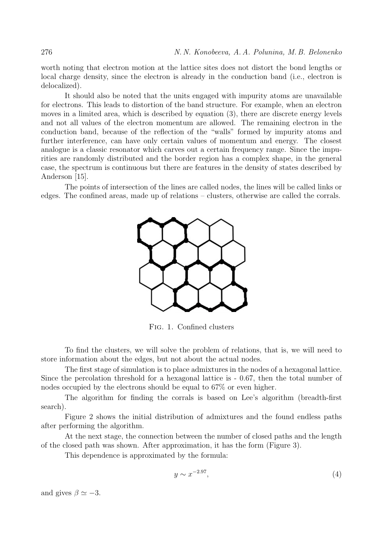worth noting that electron motion at the lattice sites does not distort the bond lengths or local charge density, since the electron is already in the conduction band (i.e., electron is delocalized).

It should also be noted that the units engaged with impurity atoms are unavailable for electrons. This leads to distortion of the band structure. For example, when an electron moves in a limited area, which is described by equation (3), there are discrete energy levels and not all values of the electron momentum are allowed. The remaining electron in the conduction band, because of the reflection of the "walls" formed by impurity atoms and further interference, can have only certain values of momentum and energy. The closest analogue is a classic resonator which carves out a certain frequency range. Since the impurities are randomly distributed and the border region has a complex shape, in the general case, the spectrum is continuous but there are features in the density of states described by Anderson [15].

The points of intersection of the lines are called nodes, the lines will be called links or edges. The confined areas, made up of relations – clusters, otherwise are called the corrals.



Fig. 1. Confined clusters

To find the clusters, we will solve the problem of relations, that is, we will need to store information about the edges, but not about the actual nodes.

The first stage of simulation is to place admixtures in the nodes of a hexagonal lattice. Since the percolation threshold for a hexagonal lattice is - 0.67, then the total number of nodes occupied by the electrons should be equal to 67% or even higher.

The algorithm for finding the corrals is based on Lee's algorithm (breadth-first search).

Figure 2 shows the initial distribution of admixtures and the found endless paths after performing the algorithm.

At the next stage, the connection between the number of closed paths and the length of the closed path was shown. After approximation, it has the form (Figure 3).

This dependence is approximated by the formula:

$$
y \sim x^{-2.97},\tag{4}
$$

and gives  $\beta \simeq -3$ .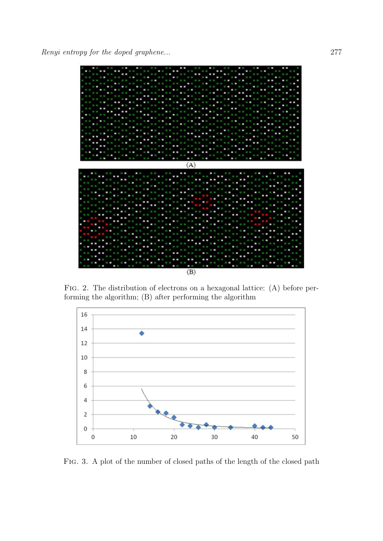

Fig. 2. The distribution of electrons on a hexagonal lattice: (A) before performing the algorithm; (B) after performing the algorithm



Fig. 3. A plot of the number of closed paths of the length of the closed path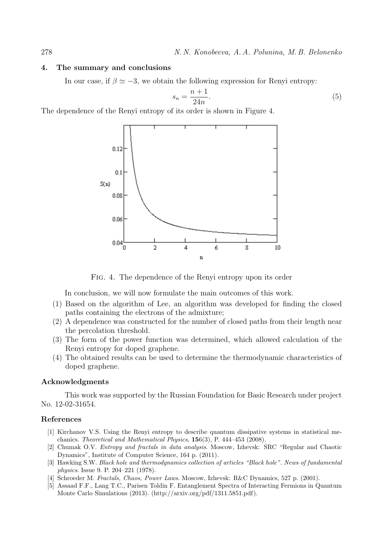## 4. The summary and conclusions

In our case, if  $\beta \simeq -3$ , we obtain the following expression for Renyi entropy:

$$
s_n = \frac{n+1}{24n}.\tag{5}
$$

The dependence of the Renyi entropy of its order is shown in Figure 4.



Fig. 4. The dependence of the Renyi entropy upon its order

In conclusion, we will now formulate the main outcomes of this work.

- (1) Based on the algorithm of Lee, an algorithm was developed for finding the closed paths containing the electrons of the admixture;
- (2) A dependence was constructed for the number of closed paths from their length near the percolation threshold.
- (3) The form of the power function was determined, which allowed calculation of the Renyi entropy for doped graphene.
- (4) The obtained results can be used to determine the thermodynamic characteristics of doped graphene.

## Acknowledgments

This work was supported by the Russian Foundation for Basic Research under project No. 12-02-31654.

## References

- [1] Kirchanov V.S. Using the Renyi entropy to describe quantum dissipative systems in statistical mechanics. Theoretical and Mathematical Physics, 156(3), P. 444–453 (2008).
- [2] Chumak O.V. Entropy and fractals in data analysis. Moscow, Izhevsk: SRC "Regular and Chaotic Dynamics", Institute of Computer Science, 164 p. (2011).
- [3] Hawking S.W. Black hole and thermodynamics collection of articles "Black hole". News of fundamental physics. Issue 9. P. 204–221 (1978).
- [4] Schroeder M. Fractals, Chaos, Power Laws. Moscow, Izhevsk: R&C Dynamics, 527 p. (2001).
- [5] Assaad F.F., Lang T.C., Parisen Toldin F. Entanglement Spectra of Interacting Fermions in Quantum Monte Carlo Simulations (2013). (http://arxiv.org/pdf/1311.5851.pdf).